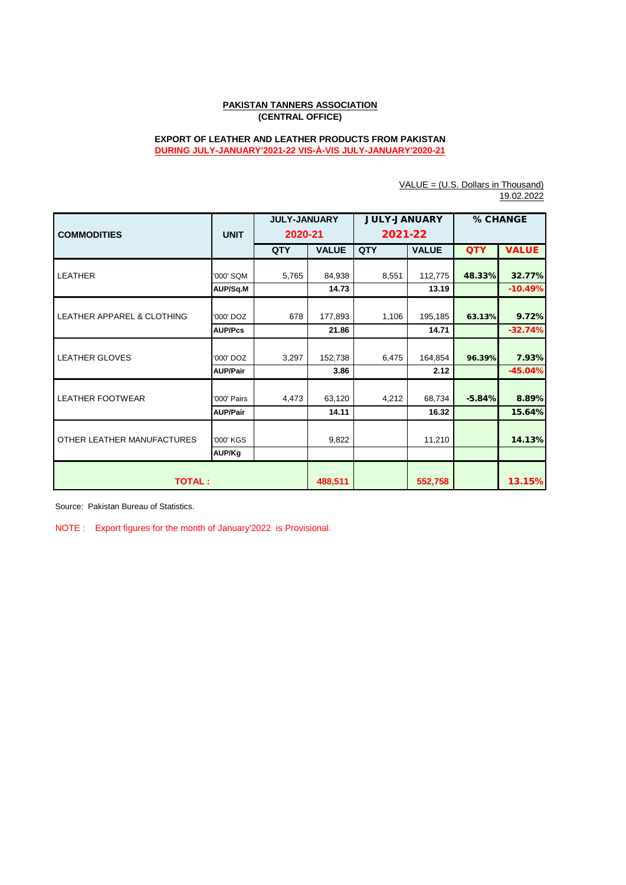## **PAKISTAN TANNERS ASSOCIATION (CENTRAL OFFICE)**

## **EXPORT OF LEATHER AND LEATHER PRODUCTS FROM PAKISTAN DURING JULY-JANUARY'2021-22 VIS-À-VIS JULY-JANUARY'2020-21**

|                                       |                     | <b>JULY-JANUARY</b> |              | <b>JULY-JANUARY</b> |              | % CHANGE   |              |  |  |
|---------------------------------------|---------------------|---------------------|--------------|---------------------|--------------|------------|--------------|--|--|
| <b>COMMODITIES</b>                    | <b>UNIT</b>         | 2020-21             |              | 2021-22             |              |            |              |  |  |
|                                       |                     | <b>QTY</b>          | <b>VALUE</b> | QTY                 | <b>VALUE</b> | <b>QTY</b> | <b>VALUE</b> |  |  |
| <b>LEATHER</b>                        | '000' SQM           | 5,765               | 84,938       | 8,551               | 112,775      | 48.33%     | 32.77%       |  |  |
|                                       | AUP/Sq.M            |                     | 14.73        |                     | 13.19        |            | $-10.49%$    |  |  |
| <b>LEATHER APPAREL &amp; CLOTHING</b> | '000' DOZ           | 678                 | 177,893      | 1,106               | 195,185      | 63.13%     | 9.72%        |  |  |
|                                       | <b>AUP/Pcs</b>      |                     | 21.86        |                     | 14.71        |            | $-32.74%$    |  |  |
| <b>LEATHER GLOVES</b>                 | '000' DOZ           | 3,297               | 152,738      | 6,475               | 164,854      | 96.39%     | 7.93%        |  |  |
|                                       | <b>AUP/Pair</b>     |                     | 3.86         |                     | 2.12         |            | $-45.04%$    |  |  |
| <b>LEATHER FOOTWEAR</b>               | '000' Pairs         | 4,473               | 63,120       | 4,212               | 68,734       | $-5.84%$   | 8.89%        |  |  |
|                                       | <b>AUP/Pair</b>     |                     | 14.11        |                     | 16.32        |            | 15.64%       |  |  |
| OTHER LEATHER MANUFACTURES            | '000' KGS<br>AUP/Kg |                     | 9,822        |                     | 11,210       |            | 14.13%       |  |  |
| <b>TOTAL:</b>                         |                     |                     | 488,511      |                     | 552,758      |            | 13.15%       |  |  |

VALUE = (U.S. Dollars in Thousand) 19.02.2022

Source: Pakistan Bureau of Statistics.

NOTE : Export figures for the month of January'2022 is Provisional.